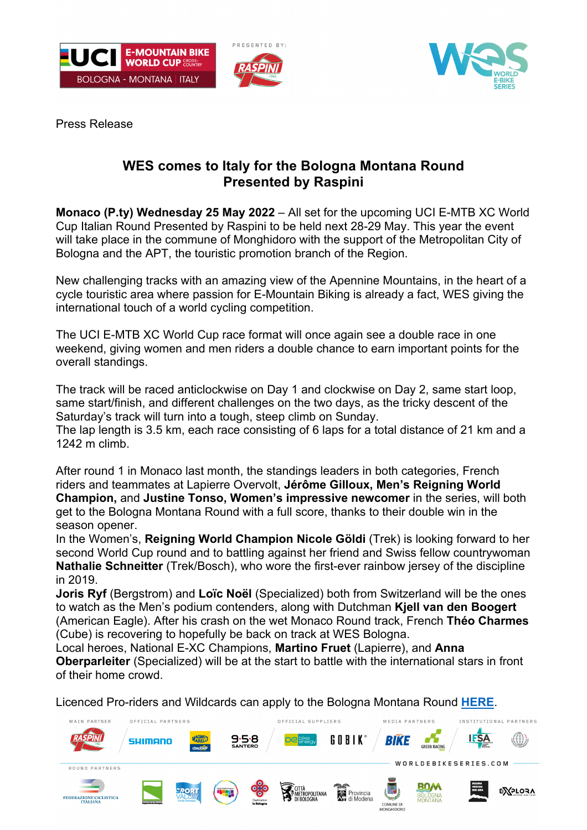





Press Release

## **WES comes to Italy for the Bologna Montana Round Presented by Raspini**

**Monaco (P.ty) Wednesday 25 May 2022** – All set for the upcoming UCI E-MTB XC World Cup Italian Round Presented by Raspini to be held next 28-29 May. This year the event will take place in the commune of Monghidoro with the support of the Metropolitan City of Bologna and the APT, the touristic promotion branch of the Region.

New challenging tracks with an amazing view of the Apennine Mountains, in the heart of a cycle touristic area where passion for E-Mountain Biking is already a fact, WES giving the international touch of a world cycling competition.

The UCI E-MTB XC World Cup race format will once again see a double race in one weekend, giving women and men riders a double chance to earn important points for the overall standings.

The track will be raced anticlockwise on Day 1 and clockwise on Day 2, same start loop, same start/finish, and different challenges on the two days, as the tricky descent of the Saturday's track will turn into a tough, steep climb on Sunday.

The lap length is 3.5 km, each race consisting of 6 laps for a total distance of 21 km and a 1242 m climb.

After round 1 in Monaco last month, the standings leaders in both categories, French riders and teammates at Lapierre Overvolt, **Jérôme Gilloux, Men's Reigning World Champion,** and **Justine Tonso, Women's impressive newcomer** in the series, will both get to the Bologna Montana Round with a full score, thanks to their double win in the season opener.

In the Women's, **Reigning World Champion Nicole Göldi** (Trek) is looking forward to her second World Cup round and to battling against her friend and Swiss fellow countrywoman **Nathalie Schneitter** (Trek/Bosch), who wore the first-ever rainbow jersey of the discipline in 2019.

**Joris Ryf** (Bergstrom) and **Loïc Noël** (Specialized) both from Switzerland will be the ones to watch as the Men's podium contenders, along with Dutchman **Kjell van den Boogert** (American Eagle). After his crash on the wet Monaco Round track, French **Théo Charmes**  (Cube) is recovering to hopefully be back on track at WES Bologna.

Local heroes, National E-XC Champions, **Martino Fruet** (Lapierre), and **Anna Oberparleiter** (Specialized) will be at the start to battle with the international stars in front of their home crowd.

Licenced Pro-riders and Wildcards can apply to the Bologna Montana Round **HERE**.